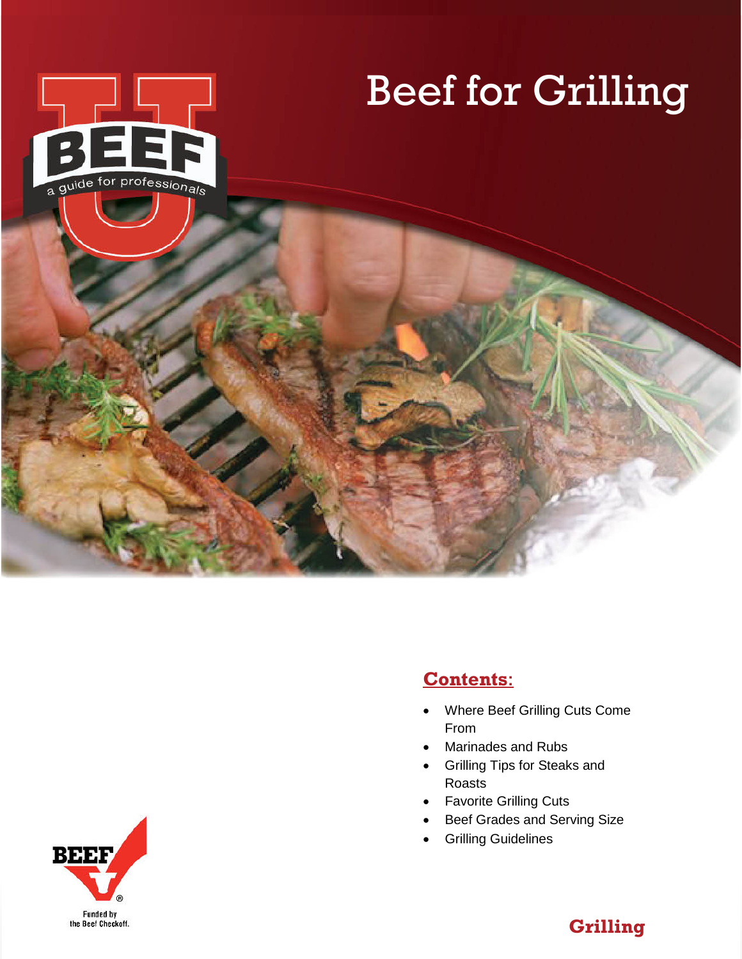

# Beef for Grilling



- Where Beef Grilling Cuts Come From
- Marinades and Rubs
- Grilling Tips for Steaks and Roasts
- Favorite Grilling Cuts
- Beef Grades and Serving Size
- Grilling Guidelines



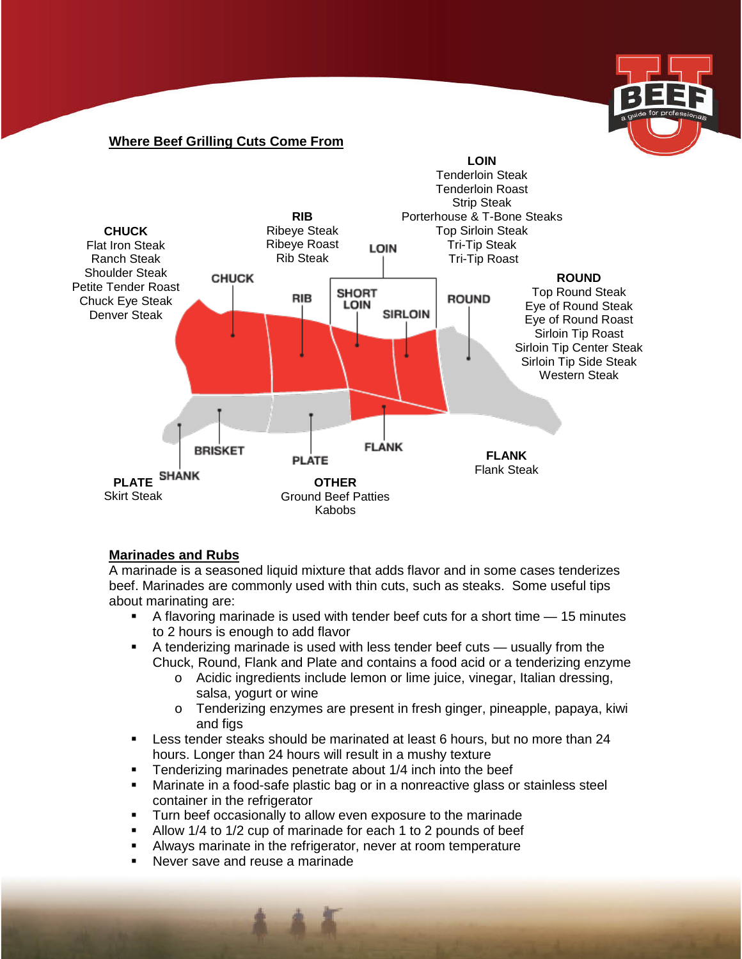

#### **Where Beef Grilling Cuts Come From**



#### **Marinades and Rubs**

A marinade is a seasoned liquid mixture that adds flavor and in some cases tenderizes beef. Marinades are commonly used with thin cuts, such as steaks. Some useful tips about marinating are:

- A flavoring marinade is used with tender beef cuts for a short time 15 minutes to 2 hours is enough to add flavor
- A tenderizing marinade is used with less tender beef cuts usually from the Chuck, Round, Flank and Plate and contains a food acid or a tenderizing enzyme
	- o Acidic ingredients include lemon or lime juice, vinegar, Italian dressing, salsa, yogurt or wine
	- o Tenderizing enzymes are present in fresh ginger, pineapple, papaya, kiwi and figs
- **Less tender steaks should be marinated at least 6 hours, but no more than 24** hours. Longer than 24 hours will result in a mushy texture
- Tenderizing marinades penetrate about 1/4 inch into the beef<br>■ Marinate in a food-safe plastic bag or in a nonreactive glass o
- Marinate in a food-safe plastic bag or in a nonreactive glass or stainless steel container in the refrigerator
- **Turn beef occasionally to allow even exposure to the marinade**
- Allow 1/4 to 1/2 cup of marinade for each 1 to 2 pounds of beef
- Always marinate in the refrigerator, never at room temperature
- Never save and reuse a marinade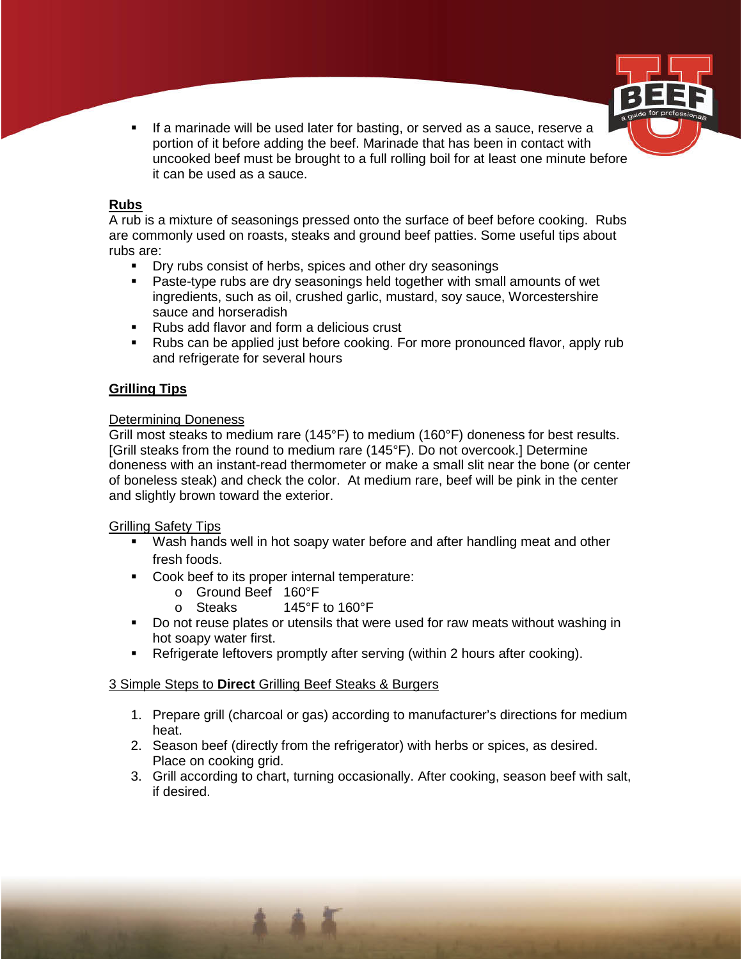

**If a marinade will be used later for basting, or served as a sauce, reserve a** portion of it before adding the beef. Marinade that has been in contact with uncooked beef must be brought to a full rolling boil for at least one minute before it can be used as a sauce.

## **Rubs**

A rub is a mixture of seasonings pressed onto the surface of beef before cooking. Rubs are commonly used on roasts, steaks and ground beef patties. Some useful tips about rubs are:

- **Dry rubs consist of herbs, spices and other dry seasonings**
- Paste-type rubs are dry seasonings held together with small amounts of wet ingredients, such as oil, crushed garlic, mustard, soy sauce, Worcestershire sauce and horseradish
- Rubs add flavor and form a delicious crust
- Rubs can be applied just before cooking. For more pronounced flavor, apply rub and refrigerate for several hours

# **Grilling Tips**

## Determining Doneness

Grill most steaks to medium rare (145°F) to medium (160°F) doneness for best results. [Grill steaks from the round to medium rare (145°F). Do not overcook.] Determine doneness with an instant-read thermometer or make a small slit near the bone (or center of boneless steak) and check the color. At medium rare, beef will be pink in the center and slightly brown toward the exterior.

#### Grilling Safety Tips

- Wash hands well in hot soapy water before and after handling meat and other fresh foods.
- Cook beef to its proper internal temperature:
	-
	- o Ground Beef 160°F<br>
	o Steaks 145°F 145 $\degree$ F to 160 $\degree$ F
- **Do not reuse plates or utensils that were used for raw meats without washing in** hot soapy water first.
- Refrigerate leftovers promptly after serving (within 2 hours after cooking).

# 3 Simple Steps to **Direct** Grilling Beef Steaks & Burgers

- 1. Prepare grill (charcoal or gas) according to manufacturer's directions for medium heat.
- 2. Season beef (directly from the refrigerator) with herbs or spices, as desired. Place on cooking grid.
- 3. Grill according to chart, turning occasionally. After cooking, season beef with salt, if desired.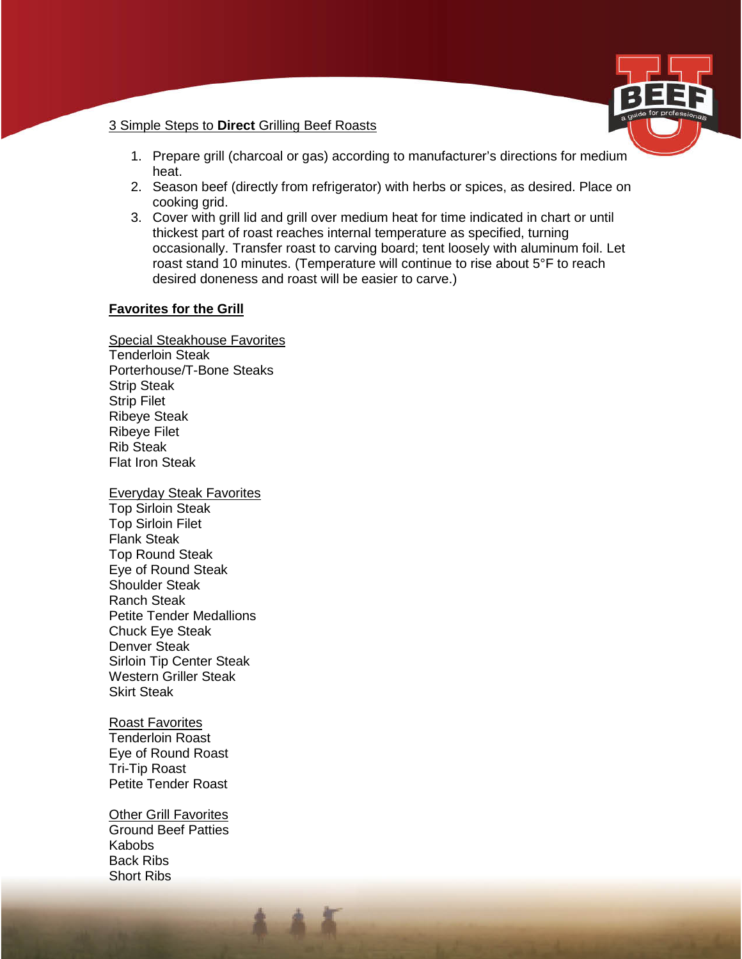

#### 3 Simple Steps to **Direct** Grilling Beef Roasts

- 1. Prepare grill (charcoal or gas) according to manufacturer's directions for medium heat.
- 2. Season beef (directly from refrigerator) with herbs or spices, as desired. Place on cooking grid.
- 3. Cover with grill lid and grill over medium heat for time indicated in chart or until thickest part of roast reaches internal temperature as specified, turning occasionally. Transfer roast to carving board; tent loosely with aluminum foil. Let roast stand 10 minutes. (Temperature will continue to rise about 5°F to reach desired doneness and roast will be easier to carve.)

## **Favorites for the Grill**

Special Steakhouse Favorites Tenderloin Steak Porterhouse/T-Bone Steaks Strip Steak Strip Filet Ribeye Steak Ribeye Filet Rib Steak Flat Iron Steak

#### Everyday Steak Favorites

Top Sirloin Steak Top Sirloin Filet Flank Steak Top Round Steak Eye of Round Steak Shoulder Steak Ranch Steak Petite Tender Medallions Chuck Eye Steak Denver Steak Sirloin Tip Center Steak Western Griller Steak Skirt Steak

#### Roast Favorites

Tenderloin Roast Eye of Round Roast Tri-Tip Roast Petite Tender Roast

Other Grill Favorites Ground Beef Patties Kabobs Back Ribs Short Ribs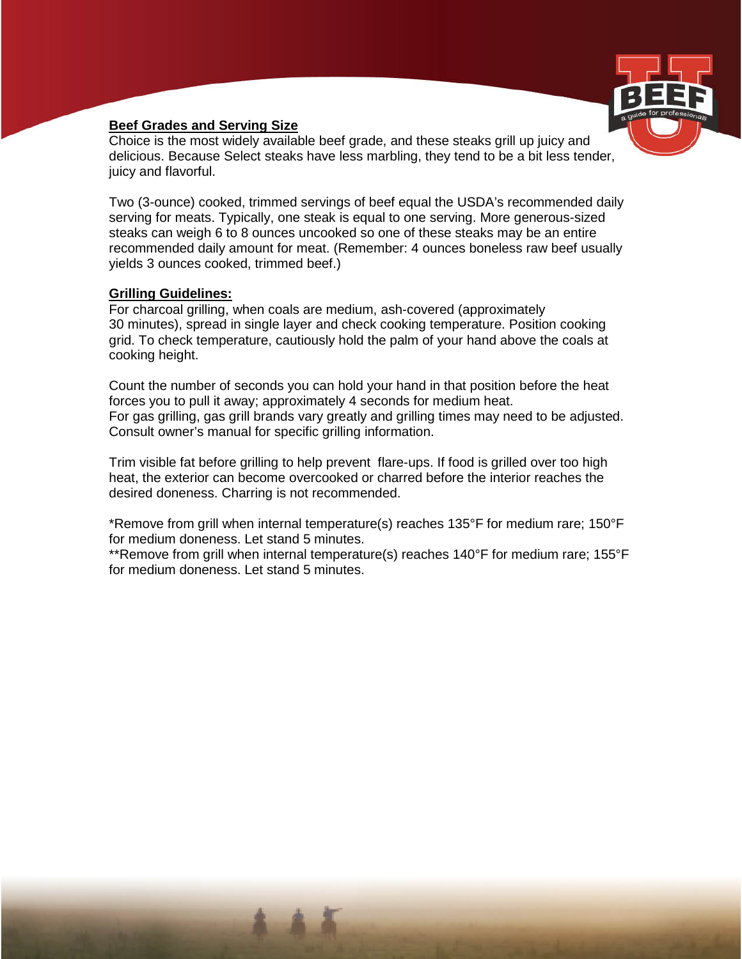

# **Beef Grades and Serving Size**

Choice is the most widely available beef grade, and these steaks grill up juicy and delicious. Because Select steaks have less marbling, they tend to be a bit less tender, juicy and flavorful.

Two (3-ounce) cooked, trimmed servings of beef equal the USDA's recommended daily serving for meats. Typically, one steak is equal to one serving. More generous-sized steaks can weigh 6 to 8 ounces uncooked so one of these steaks may be an entire recommended daily amount for meat. (Remember: 4 ounces boneless raw beef usually yields 3 ounces cooked, trimmed beef.)

# **Grilling Guidelines:**

For charcoal grilling, when coals are medium, ash-covered (approximately 30 minutes), spread in single layer and check cooking temperature. Position cooking grid. To check temperature, cautiously hold the palm of your hand above the coals at cooking height.

Count the number of seconds you can hold your hand in that position before the heat forces you to pull it away; approximately 4 seconds for medium heat. For gas grilling, gas grill brands vary greatly and grilling times may need to be adjusted. Consult owner's manual for specific grilling information.

Trim visible fat before grilling to help prevent flare-ups. If food is grilled over too high heat, the exterior can become overcooked or charred before the interior reaches the desired doneness. Charring is not recommended.

\*Remove from grill when internal temperature(s) reaches 135°F for medium rare; 150°F for medium doneness. Let stand 5 minutes.

\*\*Remove from grill when internal temperature(s) reaches 140°F for medium rare; 155°F for medium doneness. Let stand 5 minutes.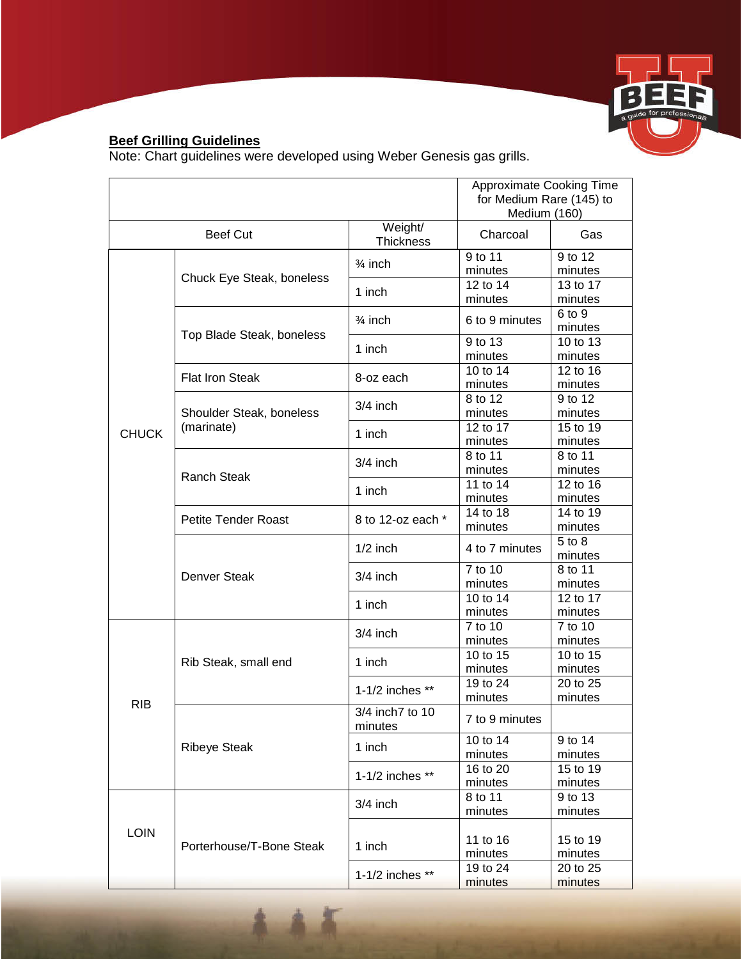

# **Beef Grilling Guidelines**

Note: Chart guidelines were developed using Weber Genesis gas grills.

|                 |                                        |                             | Approximate Cooking Time<br>for Medium Rare (145) to<br>Medium (160) |                     |  |
|-----------------|----------------------------------------|-----------------------------|----------------------------------------------------------------------|---------------------|--|
| <b>Beef Cut</b> |                                        | Weight/<br><b>Thickness</b> | Charcoal                                                             | Gas                 |  |
| <b>CHUCK</b>    | Chuck Eye Steak, boneless              | $\frac{3}{4}$ inch          | 9 to 11<br>minutes                                                   | 9 to 12<br>minutes  |  |
|                 |                                        | 1 inch                      | 12 to 14<br>minutes                                                  | 13 to 17<br>minutes |  |
|                 | Top Blade Steak, boneless              | $\frac{3}{4}$ inch          | 6 to 9 minutes                                                       | 6 to 9<br>minutes   |  |
|                 |                                        | 1 inch                      | 9 to 13<br>minutes                                                   | 10 to 13<br>minutes |  |
|                 | <b>Flat Iron Steak</b>                 | 8-oz each                   | 10 to 14<br>minutes                                                  | 12 to 16<br>minutes |  |
|                 | Shoulder Steak, boneless<br>(marinate) | $3/4$ inch                  | 8 to 12<br>minutes                                                   | 9 to 12<br>minutes  |  |
|                 |                                        | 1 inch                      | 12 to 17<br>minutes                                                  | 15 to 19<br>minutes |  |
|                 | <b>Ranch Steak</b>                     | $3/4$ inch                  | 8 to 11<br>minutes                                                   | 8 to 11<br>minutes  |  |
|                 |                                        | 1 inch                      | 11 to 14<br>minutes                                                  | 12 to 16<br>minutes |  |
|                 | <b>Petite Tender Roast</b>             | 8 to 12-oz each *           | 14 to 18<br>minutes                                                  | 14 to 19<br>minutes |  |
|                 | Denver Steak                           | $1/2$ inch                  | 4 to 7 minutes                                                       | 5 to 8<br>minutes   |  |
|                 |                                        | $3/4$ inch                  | 7 to 10<br>minutes                                                   | 8 to 11<br>minutes  |  |
|                 |                                        | 1 inch                      | 10 to 14<br>minutes                                                  | 12 to 17<br>minutes |  |
| <b>RIB</b>      | Rib Steak, small end                   | $3/4$ inch                  | 7 to 10<br>minutes                                                   | 7 to 10<br>minutes  |  |
|                 |                                        | 1 inch                      | 10 to 15<br>minutes                                                  | 10 to 15<br>minutes |  |
|                 |                                        | 1-1/2 inches **             | 19 to 24<br>minutes                                                  | 20 to 25<br>minutes |  |
|                 | <b>Ribeye Steak</b>                    | 3/4 inch7 to 10<br>minutes  | 7 to 9 minutes                                                       |                     |  |
|                 |                                        | 1 inch                      | 10 to 14<br>minutes                                                  | 9 to 14<br>minutes  |  |
|                 |                                        | 1-1/2 inches **             | 16 to 20<br>minutes                                                  | 15 to 19<br>minutes |  |
| <b>LOIN</b>     | Porterhouse/T-Bone Steak               | $3/4$ inch                  | 8 to 11<br>minutes                                                   | 9 to 13<br>minutes  |  |
|                 |                                        | 1 inch                      | 11 to 16<br>minutes                                                  | 15 to 19<br>minutes |  |
|                 |                                        | 1-1/2 inches **             | 19 to 24<br>minutes                                                  | 20 to 25<br>minutes |  |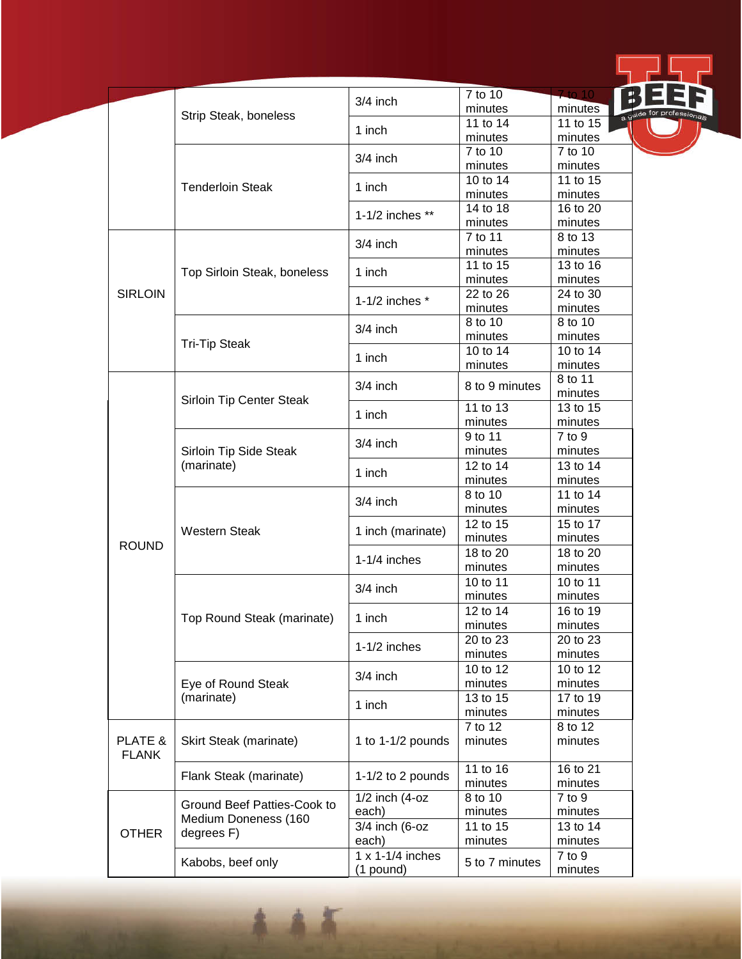|                         | Strip Steak, boneless                                                                  | $3/4$ inch                             | 7 to 10             | Z to 10             |     |
|-------------------------|----------------------------------------------------------------------------------------|----------------------------------------|---------------------|---------------------|-----|
|                         |                                                                                        |                                        | minutes             | minutes             |     |
|                         |                                                                                        | 1 inch                                 | 11 to 14            | 11 to 15            | a g |
|                         |                                                                                        |                                        | minutes             | minutes             |     |
|                         | <b>Tenderloin Steak</b>                                                                | $3/4$ inch                             | 7 to 10             | 7 to 10             |     |
|                         |                                                                                        |                                        | minutes             | minutes             |     |
|                         |                                                                                        | 1 inch                                 | 10 to 14            | 11 to 15            |     |
|                         |                                                                                        | 1-1/2 inches **                        | minutes<br>14 to 18 | minutes<br>16 to 20 |     |
|                         |                                                                                        |                                        | minutes             | minutes             |     |
|                         |                                                                                        |                                        | 7 to 11             | 8 to 13             |     |
|                         | Top Sirloin Steak, boneless                                                            | $3/4$ inch<br>1 inch                   | minutes             | minutes             |     |
|                         |                                                                                        |                                        | 11 to 15            | 13 to 16            |     |
|                         |                                                                                        |                                        | minutes             | minutes             |     |
| <b>SIRLOIN</b>          |                                                                                        |                                        | 22 to 26            | 24 to 30            |     |
|                         |                                                                                        | 1-1/2 inches $*$                       | minutes             | minutes             |     |
|                         | <b>Tri-Tip Steak</b>                                                                   |                                        | 8 to 10             | 8 to 10             |     |
|                         |                                                                                        | $3/4$ inch                             | minutes             | minutes             |     |
|                         |                                                                                        | 1 inch                                 | 10 to 14            | 10 to 14            |     |
|                         |                                                                                        |                                        | minutes             | minutes             |     |
|                         |                                                                                        | $3/4$ inch                             | 8 to 9 minutes      | 8 to 11             |     |
|                         | Sirloin Tip Center Steak                                                               |                                        |                     | minutes             |     |
|                         |                                                                                        | 1 inch                                 | 11 to 13            | 13 to 15            |     |
|                         |                                                                                        |                                        | minutes             | minutes             |     |
| <b>ROUND</b>            | Sirloin Tip Side Steak<br>(marinate)                                                   | $3/4$ inch                             | 9 to 11             | 7 to 9              |     |
|                         |                                                                                        |                                        | minutes             | minutes             |     |
|                         |                                                                                        | 1 inch                                 | 12 to 14            | 13 to 14            |     |
|                         |                                                                                        |                                        | minutes             | minutes             |     |
|                         | <b>Western Steak</b><br>Top Round Steak (marinate)                                     | $3/4$ inch                             | 8 to 10             | 11 to 14            |     |
|                         |                                                                                        |                                        | minutes             | minutes             |     |
|                         |                                                                                        | 1 inch (marinate)                      | 12 to 15            | 15 to 17            |     |
|                         |                                                                                        |                                        | minutes             | minutes             |     |
|                         |                                                                                        | $1-1/4$ inches                         | 18 to 20            | 18 to 20            |     |
|                         |                                                                                        |                                        | minutes<br>10 to 11 | minutes<br>10 to 11 |     |
|                         |                                                                                        | $3/4$ inch                             | minutes             | minutes             |     |
|                         |                                                                                        |                                        | 12 to 14            | 16 to 19            |     |
|                         |                                                                                        | 1 inch                                 | minutes             | minutes             |     |
|                         |                                                                                        |                                        | 20 to 23            | 20 to 23            |     |
|                         |                                                                                        | $1-1/2$ inches                         | minutes             | minutes             |     |
|                         | Eye of Round Steak                                                                     | $3/4$ inch                             | 10 to 12            | 10 to 12            |     |
|                         |                                                                                        |                                        | minutes             | minutes             |     |
|                         | (marinate)                                                                             |                                        | 13 to 15            | 17 to 19            |     |
|                         |                                                                                        | 1 inch                                 | minutes             | minutes             |     |
| PLATE &<br><b>FLANK</b> | Skirt Steak (marinate)                                                                 | 1 to 1-1/2 pounds                      | 7 to 12             | 8 to 12             |     |
|                         |                                                                                        |                                        | minutes             | minutes             |     |
|                         |                                                                                        |                                        |                     |                     |     |
|                         | Flank Steak (marinate)                                                                 | 1-1/2 to 2 pounds                      | 11 to 16            | 16 to 21            |     |
|                         |                                                                                        |                                        | minutes             | minutes             |     |
| <b>OTHER</b>            | Ground Beef Patties-Cook to<br>Medium Doneness (160<br>degrees F)<br>Kabobs, beef only | $1/2$ inch $(4$ -oz                    | 8 to 10             | 7 to 9              |     |
|                         |                                                                                        | each)                                  | minutes             | minutes             |     |
|                         |                                                                                        | $3/4$ inch (6-oz                       | 11 to 15            | 13 to 14            |     |
|                         |                                                                                        | each)                                  | minutes             | minutes             |     |
|                         |                                                                                        | $1 \times 1 - 1/4$ inches<br>(1 pound) | 5 to 7 minutes      | 7 to 9              |     |
|                         |                                                                                        |                                        |                     | minutes             |     |

**START START**